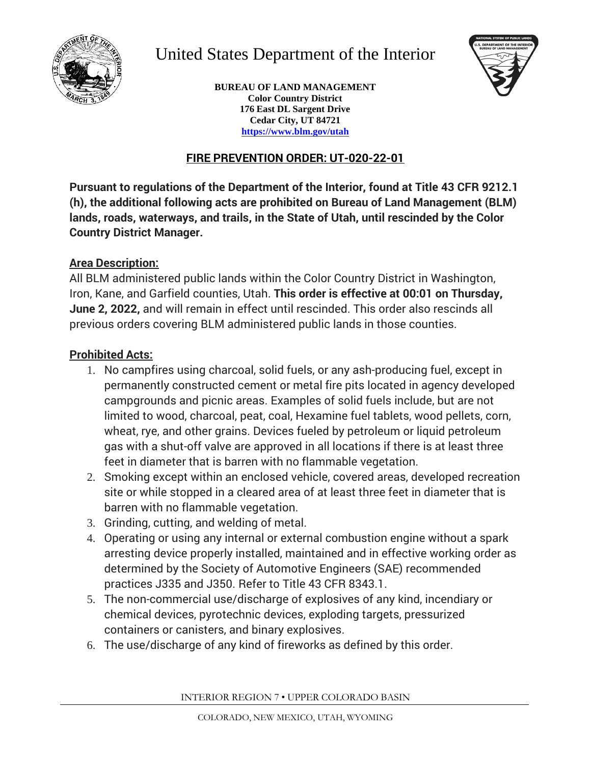

# United States Department of the Interior



**BUREAU OF LAND MANAGEMENT Color Country District 176 East DL Sargent Drive Cedar City, UT 84721 https[://www.blm.gov/utah](http://www.blm.gov/utah)**

# **FIRE PREVENTION ORDER: UT-020-22-01**

**Pursuant to regulations of the Department of the Interior, found at Title 43 CFR 9212.1 (h), the additional following acts are prohibited on Bureau of Land Management (BLM) lands, roads, waterways, and trails, in the State of Utah, until rescinded by the Color Country District Manager.**

#### **Area Description:**

All BLM administered public lands within the Color Country District in Washington, Iron, Kane, and Garfield counties, Utah. **This order is effective at 00:01 on Thursday, June 2, 2022,** and will remain in effect until rescinded. This order also rescinds all previous orders covering BLM administered public lands in those counties.

## **Prohibited Acts:**

- 1. No campfires using charcoal, solid fuels, or any ash-producing fuel, except in permanently constructed cement or metal fire pits located in agency developed campgrounds and picnic areas. Examples of solid fuels include, but are not limited to wood, charcoal, peat, coal, Hexamine fuel tablets, wood pellets, corn, wheat, rye, and other grains. Devices fueled by petroleum or liquid petroleum gas with a shut-off valve are approved in all locations if there is at least three feet in diameter that is barren with no flammable vegetation.
- 2. Smoking except within an enclosed vehicle, covered areas, developed recreation site or while stopped in a cleared area of at least three feet in diameter that is barren with no flammable vegetation.
- 3. Grinding, cutting, and welding of metal.
- 4. Operating or using any internal or external combustion engine without a spark arresting device properly installed, maintained and in effective working order as determined by the Society of Automotive Engineers (SAE) recommended practices J335 and J350. Refer to Title 43 CFR 8343.1.
- 5. The non-commercial use/discharge of explosives of any kind, incendiary or chemical devices, pyrotechnic devices, exploding targets, pressurized containers or canisters, and binary explosives.
- 6. The use/discharge of any kind of fireworks as defined by this order.